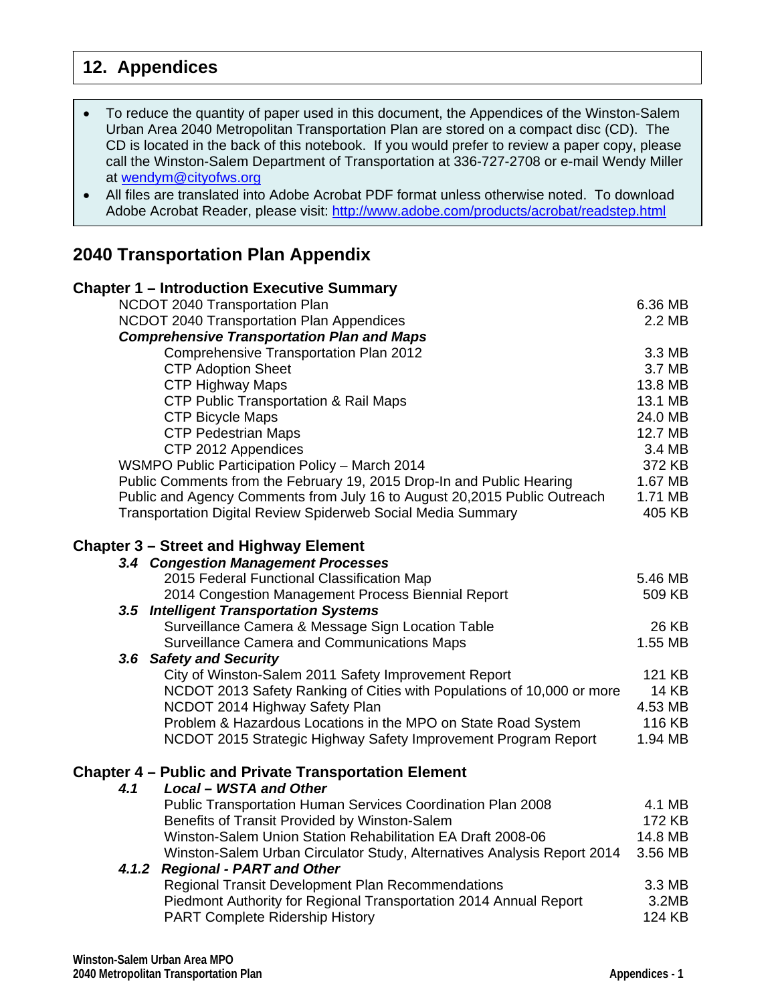## **12. Appendices**

| • To reduce the quantity of paper used in this document, the Appendices of the Winston-Salem   |
|------------------------------------------------------------------------------------------------|
| Urban Area 2040 Metropolitan Transportation Plan are stored on a compact disc (CD). The        |
| CD is located in the back of this notebook. If you would prefer to review a paper copy, please |
| call the Winston-Salem Department of Transportation at 336-727-2708 or e-mail Wendy Miller     |
| at wendym@cityofws.org                                                                         |

 All files are translated into Adobe Acrobat PDF format unless otherwise noted. To download Adobe Acrobat Reader, please visit: http://www.adobe.com/products/acrobat/readstep.html

## **2040 Transportation Plan Appendix**

|  |                                                                                                                                      | <b>Chapter 1 - Introduction Executive Summary</b>                         |         |  |
|--|--------------------------------------------------------------------------------------------------------------------------------------|---------------------------------------------------------------------------|---------|--|
|  |                                                                                                                                      | NCDOT 2040 Transportation Plan                                            | 6.36 MB |  |
|  | NCDOT 2040 Transportation Plan Appendices                                                                                            |                                                                           |         |  |
|  |                                                                                                                                      | <b>Comprehensive Transportation Plan and Maps</b>                         |         |  |
|  |                                                                                                                                      | Comprehensive Transportation Plan 2012                                    | 3.3 MB  |  |
|  |                                                                                                                                      | <b>CTP Adoption Sheet</b>                                                 | 3.7 MB  |  |
|  | <b>CTP Highway Maps</b><br><b>CTP Public Transportation &amp; Rail Maps</b><br><b>CTP Bicycle Maps</b><br><b>CTP Pedestrian Maps</b> |                                                                           |         |  |
|  |                                                                                                                                      |                                                                           |         |  |
|  |                                                                                                                                      |                                                                           |         |  |
|  |                                                                                                                                      |                                                                           |         |  |
|  |                                                                                                                                      | CTP 2012 Appendices                                                       | 3.4 MB  |  |
|  |                                                                                                                                      | WSMPO Public Participation Policy - March 2014                            | 372 KB  |  |
|  | Public Comments from the February 19, 2015 Drop-In and Public Hearing                                                                |                                                                           |         |  |
|  |                                                                                                                                      | Public and Agency Comments from July 16 to August 20,2015 Public Outreach | 1.71 MB |  |
|  |                                                                                                                                      | Transportation Digital Review Spiderweb Social Media Summary              | 405 KB  |  |
|  |                                                                                                                                      | <b>Chapter 3 - Street and Highway Element</b>                             |         |  |
|  |                                                                                                                                      | 3.4 Congestion Management Processes                                       |         |  |
|  |                                                                                                                                      | 2015 Federal Functional Classification Map                                | 5.46 MB |  |
|  |                                                                                                                                      | 2014 Congestion Management Process Biennial Report                        | 509 KB  |  |
|  |                                                                                                                                      | 3.5 Intelligent Transportation Systems                                    |         |  |
|  |                                                                                                                                      | Surveillance Camera & Message Sign Location Table                         | 26 KB   |  |
|  |                                                                                                                                      | Surveillance Camera and Communications Maps                               | 1.55 MB |  |
|  |                                                                                                                                      | 3.6 Safety and Security                                                   |         |  |
|  |                                                                                                                                      | City of Winston-Salem 2011 Safety Improvement Report                      | 121 KB  |  |
|  |                                                                                                                                      | NCDOT 2013 Safety Ranking of Cities with Populations of 10,000 or more    | 14 KB   |  |
|  |                                                                                                                                      | NCDOT 2014 Highway Safety Plan                                            | 4.53 MB |  |
|  |                                                                                                                                      | Problem & Hazardous Locations in the MPO on State Road System             | 116 KB  |  |
|  |                                                                                                                                      | NCDOT 2015 Strategic Highway Safety Improvement Program Report            | 1.94 MB |  |
|  |                                                                                                                                      | <b>Chapter 4 - Public and Private Transportation Element</b>              |         |  |
|  | 4.1                                                                                                                                  | <b>Local - WSTA and Other</b>                                             |         |  |
|  |                                                                                                                                      | Public Transportation Human Services Coordination Plan 2008               | 4.1 MB  |  |
|  |                                                                                                                                      | Benefits of Transit Provided by Winston-Salem                             | 172 KB  |  |
|  |                                                                                                                                      | Winston-Salem Union Station Rehabilitation EA Draft 2008-06               | 14.8 MB |  |
|  |                                                                                                                                      | Winston-Salem Urban Circulator Study, Alternatives Analysis Report 2014   | 3.56 MB |  |
|  | 4.1.2                                                                                                                                | <b>Regional - PART and Other</b>                                          |         |  |
|  |                                                                                                                                      | <b>Regional Transit Development Plan Recommendations</b>                  | 3.3 MB  |  |
|  |                                                                                                                                      | Piedmont Authority for Regional Transportation 2014 Annual Report         | 3.2MB   |  |
|  |                                                                                                                                      | PART Complete Ridership History                                           | 124 KB  |  |
|  |                                                                                                                                      |                                                                           |         |  |
|  |                                                                                                                                      |                                                                           |         |  |